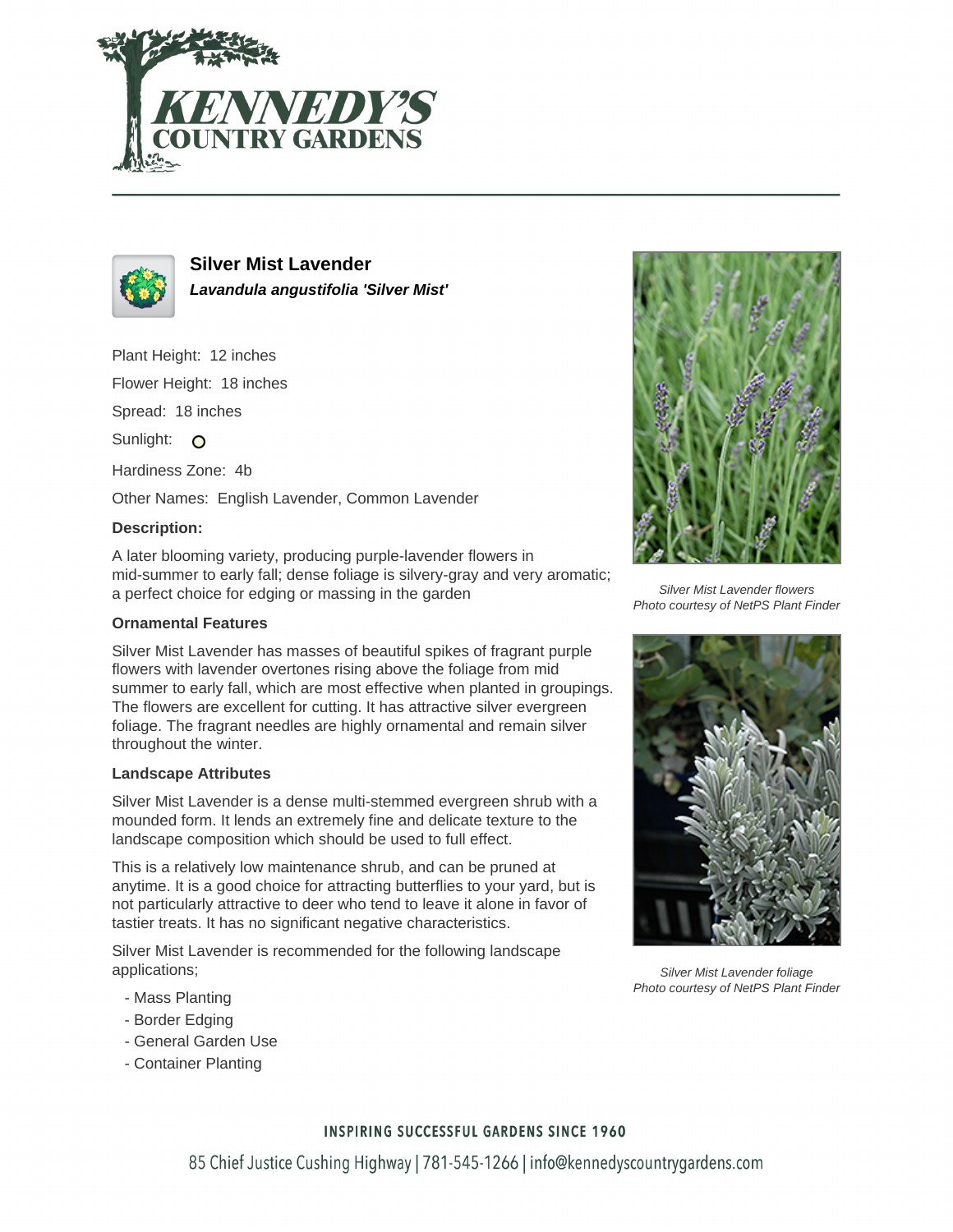



**Silver Mist Lavender Lavandula angustifolia 'Silver Mist'**

Plant Height: 12 inches

Flower Height: 18 inches

Spread: 18 inches

Sunlight: O

Hardiness Zone: 4b

Other Names: English Lavender, Common Lavender

#### **Description:**

A later blooming variety, producing purple-lavender flowers in mid-summer to early fall; dense foliage is silvery-gray and very aromatic; a perfect choice for edging or massing in the garden

## **Ornamental Features**

Silver Mist Lavender has masses of beautiful spikes of fragrant purple flowers with lavender overtones rising above the foliage from mid summer to early fall, which are most effective when planted in groupings. The flowers are excellent for cutting. It has attractive silver evergreen foliage. The fragrant needles are highly ornamental and remain silver throughout the winter.

## **Landscape Attributes**

Silver Mist Lavender is a dense multi-stemmed evergreen shrub with a mounded form. It lends an extremely fine and delicate texture to the landscape composition which should be used to full effect.

This is a relatively low maintenance shrub, and can be pruned at anytime. It is a good choice for attracting butterflies to your yard, but is not particularly attractive to deer who tend to leave it alone in favor of tastier treats. It has no significant negative characteristics.

Silver Mist Lavender is recommended for the following landscape applications;

- Mass Planting
- Border Edging
- General Garden Use
- Container Planting



Silver Mist Lavender flowers Photo courtesy of NetPS Plant Finder



Silver Mist Lavender foliage Photo courtesy of NetPS Plant Finder

#### **INSPIRING SUCCESSFUL GARDENS SINCE 1960**

85 Chief Justice Cushing Highway | 781-545-1266 | info@kennedyscountrygardens.com